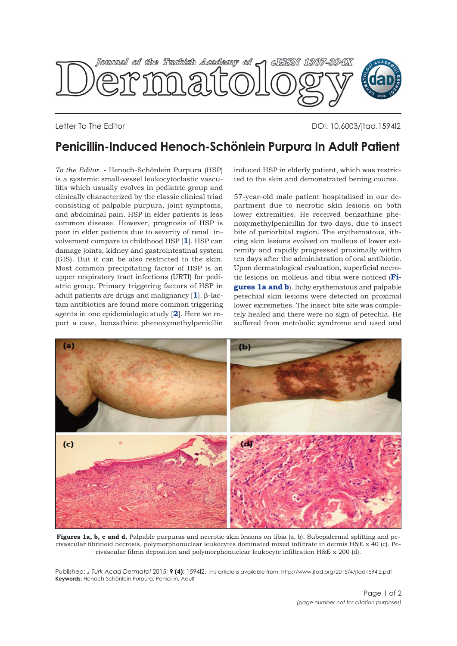<span id="page-0-0"></span>

Letter To The Editor DOI: 10.6003/jtad.1594l2

## **Penicillin-Induced Henoch-Schönlein Purpura In Adult Patient**

*To the Editor.* **-** Henoch-Schönlein Purpura (HSP) is a systemic small-vessel leukocytoclastic vasculitis which usually evolves in pediatric group and clinically characterized by the classic clinical triad consisting of palpable purpura, joint symptoms, and abdominal pain. HSP in elder patients is less common disease. However, prognosis of HSP is poor in elder patients due to severity of renal involvement compare to childhood HSP [**[1](#page-1-0)**]. HSP can damage joints, kidney and gastrointestinal system (GIS). But it can be also restricted to the skin. Most common precipitating factor of HSP is an upper respiratory tract infections (URTI) for pediatric group. Primary triggering factors of HSP in adult patients are drugs and malignancy [**[1](#page-1-0)**]. β-lactam antibiotics are found more common triggering agents in one epidemiologic study [**[2](#page-1-0)**]. Here we report a case, benzathine phenoxymethylpenicllin

induced HSP in elderly patient, which was restricted to the skin and demonstrated bening course.

57-year-old male patient hospitalised in our department due to necrotic skin lesions on both lower extremities. He received benzathine phenoxymethylpenicillin for two days, due to insect bite of periorbital region. The erythematous, ithcing skin lesions evolved on molleus of lower extremity and rapidly progressed proximally within ten days after the administration of oral antibiotic. Upon dermatological evaluation, superficial necrotic lesions on molleus and tibia were noticed (**Figures 1a and b**). Itchy erythematous and palpable petechial skin lesions were detected on proximal lower extremeties. The insect bite site was completely healed and there were no sign of petechia. He suffered from metobolic syndrome and used oral



**Figures 1a, b, c and d.** Palpable purpuras and necrotic skin lesions on tibia (a, b). Subepidermal splitting and perivascular fibrinoid necrosis, polymorphonuclear leukocytes dominated mixed infiltrate in dermis H&E x 40 (c). Perivascular fibrin deposition and polymorphonuclear leukocyte infiltration H&E x 200 (d).

Published: *J Turk Acad Dermatol* 2015; **9 (4)**: 1594l2. This article is available from: http://www.jtad.org/2015/4/jtad1594l2.pdf **Keywords:** Henoch-Schönlein Purpura, Penicillin, Adult